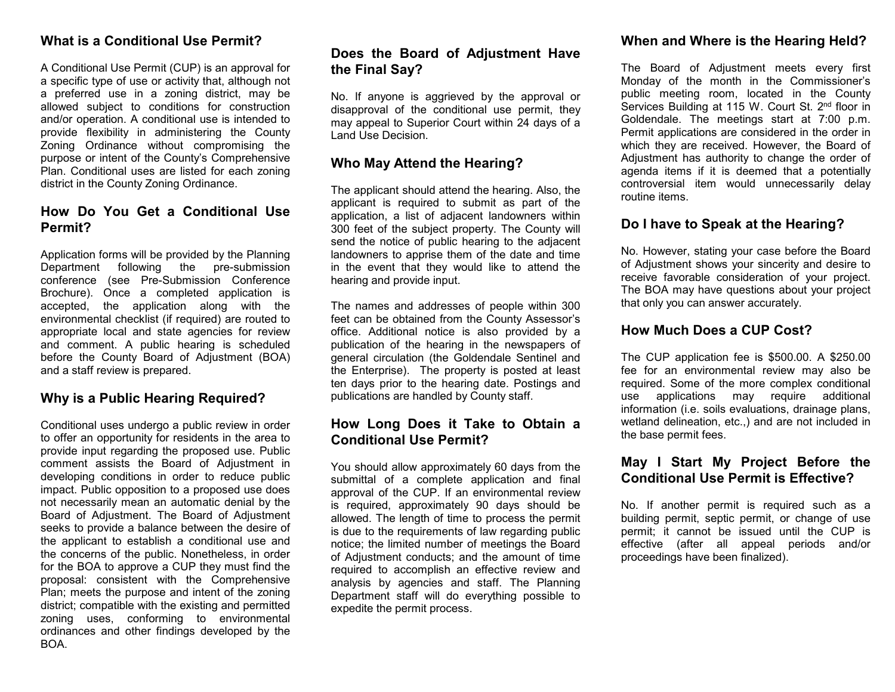# **What is a Conditional Use Permit?**

A Conditional Use Permit (CUP) is an approval for a specific type of use or activity that, although not a preferred use in a zoning district, may be allowed subject to conditions for construction and/or operation. A conditional use is intended to provide flexibility in administering the County Zoning Ordinance without compromising the purpose or intent of the County's Comprehensive Plan. Conditional uses are listed for each zoning district in the County Zoning Ordinance.

# **How Do You Get a Conditional Use Permit?**

Application forms will be provided by the Planning Department following the pre-submission conference (see Pre-Submission Conference Brochure). Once a completed application is accepted, the application along with the environmental checklist (if required) are routed to appropriate local and state agencies for review and comment. A public hearing is scheduled before the County Board of Adjustment (BOA) and a staff review is prepared.

## **Why is a Public Hearing Required?**

Conditional uses undergo a public review in order to offer an opportunity for residents in the area to provide input regarding the proposed use. Public comment assists the Board of Adjustment in developing conditions in order to reduce public impact. Public opposition to a proposed use does not necessarily mean an automatic denial by the Board of Adjustment. The Board of Adjustment seeks to provide a balance between the desire of the applicant to establish a conditional use and the concerns of the public. Nonetheless, in order for the BOA to approve a CUP they must find the proposal: consistent with the Comprehensive Plan; meets the purpose and intent of the zoning district; compatible with the existing and permitted zoning uses, conforming to environmental ordinances and other findings developed by the BOA.

# **Does the Board of Adjustment Have the Final Say?**

No. If anyone is aggrieved by the approval or disapproval of the conditional use permit, they may appeal to Superior Court within 24 days of a Land Use Decision.

## **Who May Attend the Hearing?**

The applicant should attend the hearing. Also, the applicant is required to submit as part of the application, a list of adjacent landowners within 300 feet of the subject property. The County will send the notice of public hearing to the adjacent landowners to apprise them of the date and time in the event that they would like to attend the hearing and provide input.

The names and addresses of people within 300 feet can be obtained from the County Assessor's office. Additional notice is also provided by a publication of the hearing in the newspapers of general circulation (the Goldendale Sentinel and the Enterprise). The property is posted at least ten days prior to the hearing date. Postings and publications are handled by County staff.

# **How Long Does it Take to Obtain a Conditional Use Permit?**

You should allow approximately 60 days from the submittal of a complete application and final approval of the CUP. If an environmental review is required, approximately 90 days should be allowed. The length of time to process the permit is due to the requirements of law regarding public notice; the limited number of meetings the Board of Adjustment conducts; and the amount of time required to accomplish an effective review and analysis by agencies and staff. The Planning Department staff will do everything possible to expedite the permit process.

# **When and Where is the Hearing Held?**

The Board of Adjustment meets every first Monday of the month in the Commissioner's public meeting room, located in the County Services Building at 115 W. Court St. 2<sup>nd</sup> floor in Goldendale. The meetings start at 7:00 p.m. Permit applications are considered in the order in which they are received. However, the Board of Adjustment has authority to change the order of agenda items if it is deemed that a potentially controversial item would unnecessarily delay routine items.

## **Do I have to Speak at the Hearing?**

No. However, stating your case before the Board of Adjustment shows your sincerity and desire to receive favorable consideration of your project. The BOA may have questions about your project that only you can answer accurately.

## **How Much Does a CUP Cost?**

The CUP application fee is \$500.00. A \$250.00 fee for an environmental review may also be required. Some of the more complex conditional use applications may require additional information (i.e. soils evaluations, drainage plans, wetland delineation, etc.,) and are not included in the base permit fees.

# **May I Start My Project Before the Conditional Use Permit is Effective?**

No. If another permit is required such as a building permit, septic permit, or change of use permit; it cannot be issued until the CUP is effective (after all appeal periods and/or proceedings have been finalized).